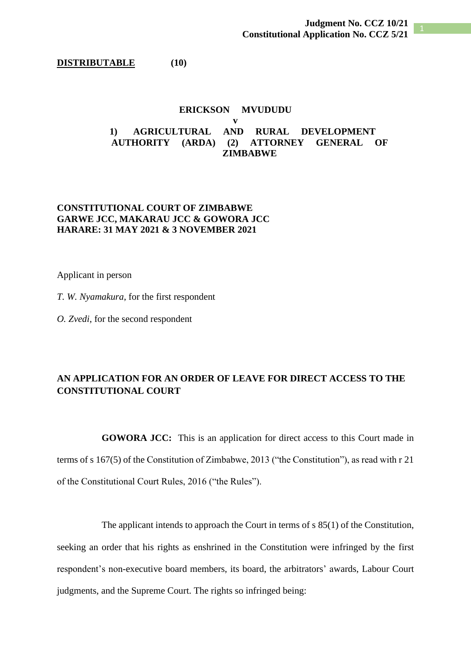### **DISTRIBUTABLE (10)**

# **ERICKSON MVUDUDU v 1) AGRICULTURAL AND RURAL DEVELOPMENT AUTHORITY (ARDA) (2) ATTORNEY GENERAL OF ZIMBABWE**

# **CONSTITUTIONAL COURT OF ZIMBABWE GARWE JCC, MAKARAU JCC & GOWORA JCC HARARE: 31 MAY 2021 & 3 NOVEMBER 2021**

Applicant in person

*T. W. Nyamakura*, for the first respondent

*O. Zvedi*, for the second respondent

# **AN APPLICATION FOR AN ORDER OF LEAVE FOR DIRECT ACCESS TO THE CONSTITUTIONAL COURT**

**GOWORA JCC:** This is an application for direct access to this Court made in terms of s 167(5) of the Constitution of Zimbabwe, 2013 ("the Constitution"), as read with r 21 of the Constitutional Court Rules, 2016 ("the Rules").

The applicant intends to approach the Court in terms of s 85(1) of the Constitution, seeking an order that his rights as enshrined in the Constitution were infringed by the first respondent's non-executive board members, its board, the arbitrators' awards, Labour Court judgments, and the Supreme Court. The rights so infringed being: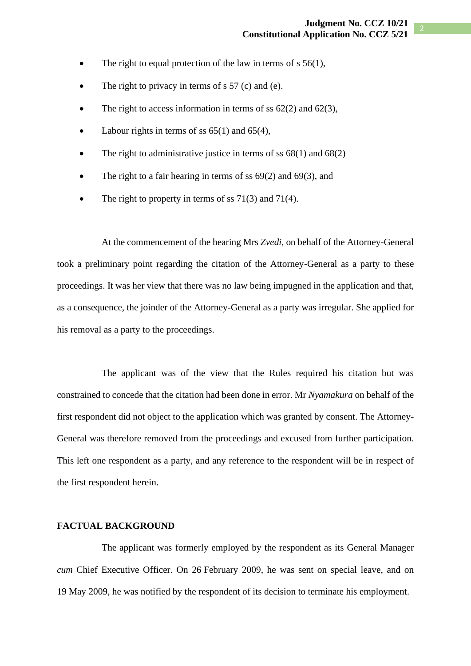- The right to equal protection of the law in terms of  $s$  56(1),
- The right to privacy in terms of  $s$  57 (c) and (e).
- The right to access information in terms of ss  $62(2)$  and  $62(3)$ ,
- Labour rights in terms of ss  $65(1)$  and  $65(4)$ ,
- The right to administrative justice in terms of ss  $68(1)$  and  $68(2)$
- The right to a fair hearing in terms of ss  $69(2)$  and  $69(3)$ , and
- The right to property in terms of ss  $71(3)$  and  $71(4)$ .

At the commencement of the hearing Mrs *Zvedi,* on behalf of the Attorney-General took a preliminary point regarding the citation of the Attorney-General as a party to these proceedings. It was her view that there was no law being impugned in the application and that, as a consequence, the joinder of the Attorney-General as a party was irregular. She applied for his removal as a party to the proceedings.

The applicant was of the view that the Rules required his citation but was constrained to concede that the citation had been done in error. Mr *Nyamakura* on behalf of the first respondent did not object to the application which was granted by consent. The Attorney-General was therefore removed from the proceedings and excused from further participation. This left one respondent as a party, and any reference to the respondent will be in respect of the first respondent herein.

#### **FACTUAL BACKGROUND**

The applicant was formerly employed by the respondent as its General Manager *cum* Chief Executive Officer. On 26 February 2009, he was sent on special leave, and on 19 May 2009, he was notified by the respondent of its decision to terminate his employment.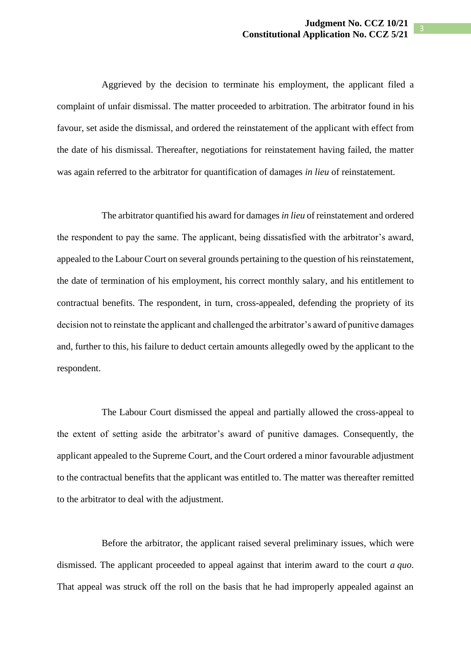Aggrieved by the decision to terminate his employment, the applicant filed a complaint of unfair dismissal. The matter proceeded to arbitration. The arbitrator found in his favour, set aside the dismissal, and ordered the reinstatement of the applicant with effect from the date of his dismissal. Thereafter, negotiations for reinstatement having failed, the matter was again referred to the arbitrator for quantification of damages *in lieu* of reinstatement.

The arbitrator quantified his award for damages *in lieu* of reinstatement and ordered the respondent to pay the same. The applicant, being dissatisfied with the arbitrator's award, appealed to the Labour Court on several grounds pertaining to the question of his reinstatement, the date of termination of his employment, his correct monthly salary, and his entitlement to contractual benefits. The respondent, in turn, cross-appealed, defending the propriety of its decision not to reinstate the applicant and challenged the arbitrator's award of punitive damages and, further to this, his failure to deduct certain amounts allegedly owed by the applicant to the respondent.

The Labour Court dismissed the appeal and partially allowed the cross-appeal to the extent of setting aside the arbitrator's award of punitive damages. Consequently, the applicant appealed to the Supreme Court, and the Court ordered a minor favourable adjustment to the contractual benefits that the applicant was entitled to. The matter was thereafter remitted to the arbitrator to deal with the adjustment.

Before the arbitrator, the applicant raised several preliminary issues, which were dismissed. The applicant proceeded to appeal against that interim award to the court *a quo*. That appeal was struck off the roll on the basis that he had improperly appealed against an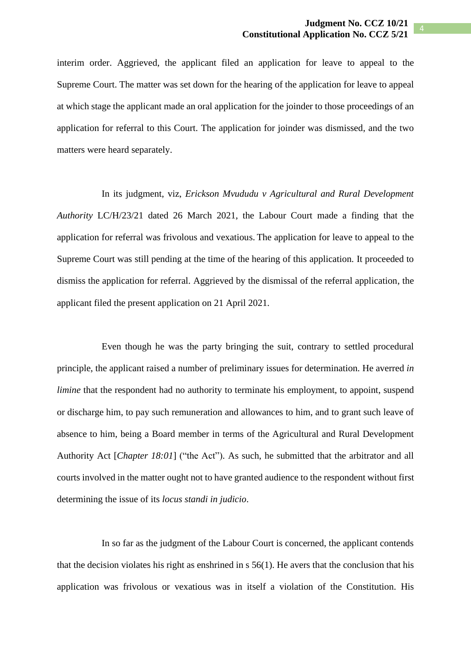interim order. Aggrieved, the applicant filed an application for leave to appeal to the Supreme Court. The matter was set down for the hearing of the application for leave to appeal at which stage the applicant made an oral application for the joinder to those proceedings of an application for referral to this Court. The application for joinder was dismissed, and the two matters were heard separately.

In its judgment, viz, *Erickson Mvududu v Agricultural and Rural Development Authority* LC/H/23/21 dated 26 March 2021, the Labour Court made a finding that the application for referral was frivolous and vexatious. The application for leave to appeal to the Supreme Court was still pending at the time of the hearing of this application. It proceeded to dismiss the application for referral. Aggrieved by the dismissal of the referral application, the applicant filed the present application on 21 April 2021.

Even though he was the party bringing the suit, contrary to settled procedural principle, the applicant raised a number of preliminary issues for determination. He averred *in limine* that the respondent had no authority to terminate his employment, to appoint, suspend or discharge him, to pay such remuneration and allowances to him, and to grant such leave of absence to him, being a Board member in terms of the Agricultural and Rural Development Authority Act [*Chapter 18:01*] ("the Act"). As such, he submitted that the arbitrator and all courts involved in the matter ought not to have granted audience to the respondent without first determining the issue of its *locus standi in judicio*.

In so far as the judgment of the Labour Court is concerned, the applicant contends that the decision violates his right as enshrined in s 56(1). He avers that the conclusion that his application was frivolous or vexatious was in itself a violation of the Constitution. His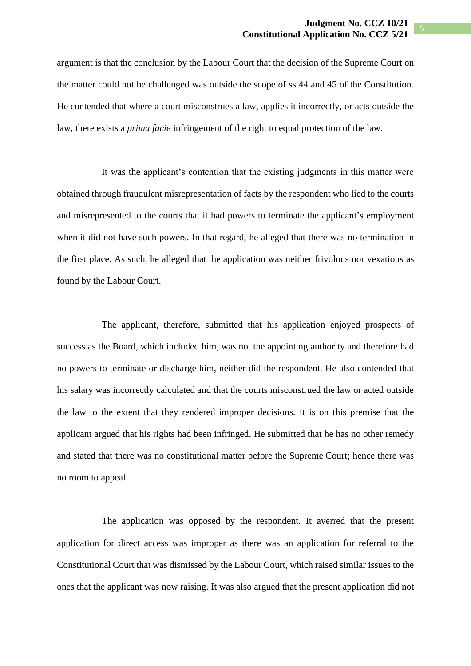argument is that the conclusion by the Labour Court that the decision of the Supreme Court on the matter could not be challenged was outside the scope of ss 44 and 45 of the Constitution. He contended that where a court misconstrues a law, applies it incorrectly, or acts outside the law, there exists a *prima facie* infringement of the right to equal protection of the law.

It was the applicant's contention that the existing judgments in this matter were obtained through fraudulent misrepresentation of facts by the respondent who lied to the courts and misrepresented to the courts that it had powers to terminate the applicant's employment when it did not have such powers. In that regard, he alleged that there was no termination in the first place. As such, he alleged that the application was neither frivolous nor vexatious as found by the Labour Court.

The applicant, therefore, submitted that his application enjoyed prospects of success as the Board, which included him, was not the appointing authority and therefore had no powers to terminate or discharge him, neither did the respondent. He also contended that his salary was incorrectly calculated and that the courts misconstrued the law or acted outside the law to the extent that they rendered improper decisions. It is on this premise that the applicant argued that his rights had been infringed. He submitted that he has no other remedy and stated that there was no constitutional matter before the Supreme Court; hence there was no room to appeal.

The application was opposed by the respondent. It averred that the present application for direct access was improper as there was an application for referral to the Constitutional Court that was dismissed by the Labour Court, which raised similar issues to the ones that the applicant was now raising. It was also argued that the present application did not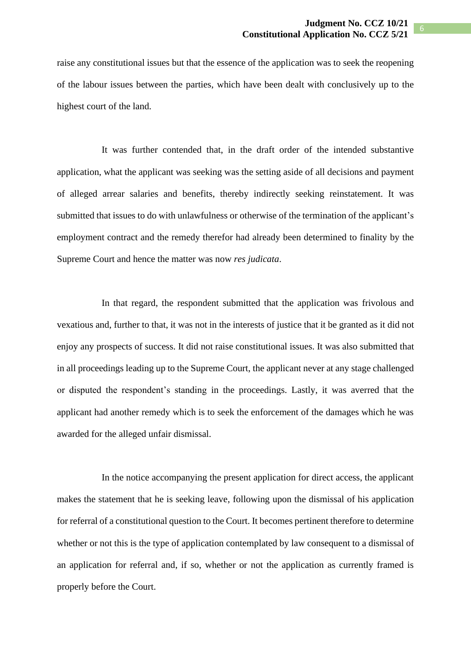raise any constitutional issues but that the essence of the application was to seek the reopening of the labour issues between the parties, which have been dealt with conclusively up to the highest court of the land.

It was further contended that, in the draft order of the intended substantive application, what the applicant was seeking was the setting aside of all decisions and payment of alleged arrear salaries and benefits, thereby indirectly seeking reinstatement. It was submitted that issues to do with unlawfulness or otherwise of the termination of the applicant's employment contract and the remedy therefor had already been determined to finality by the Supreme Court and hence the matter was now *res judicata*.

In that regard, the respondent submitted that the application was frivolous and vexatious and, further to that, it was not in the interests of justice that it be granted as it did not enjoy any prospects of success. It did not raise constitutional issues. It was also submitted that in all proceedings leading up to the Supreme Court, the applicant never at any stage challenged or disputed the respondent's standing in the proceedings. Lastly, it was averred that the applicant had another remedy which is to seek the enforcement of the damages which he was awarded for the alleged unfair dismissal.

In the notice accompanying the present application for direct access, the applicant makes the statement that he is seeking leave, following upon the dismissal of his application for referral of a constitutional question to the Court. It becomes pertinent therefore to determine whether or not this is the type of application contemplated by law consequent to a dismissal of an application for referral and, if so, whether or not the application as currently framed is properly before the Court.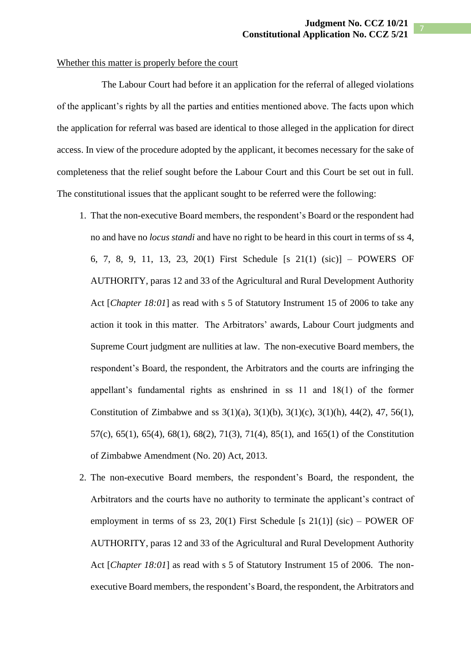#### Whether this matter is properly before the court

The Labour Court had before it an application for the referral of alleged violations of the applicant's rights by all the parties and entities mentioned above. The facts upon which the application for referral was based are identical to those alleged in the application for direct access. In view of the procedure adopted by the applicant, it becomes necessary for the sake of completeness that the relief sought before the Labour Court and this Court be set out in full. The constitutional issues that the applicant sought to be referred were the following:

- 1. That the non-executive Board members, the respondent's Board or the respondent had no and have no *locus standi* and have no right to be heard in this court in terms of ss 4, 6, 7, 8, 9, 11, 13, 23, 20(1) First Schedule [s 21(1) (sic)] – POWERS OF AUTHORITY, paras 12 and 33 of the Agricultural and Rural Development Authority Act [*Chapter 18:01*] as read with s 5 of Statutory Instrument 15 of 2006 to take any action it took in this matter. The Arbitrators' awards, Labour Court judgments and Supreme Court judgment are nullities at law. The non-executive Board members, the respondent's Board, the respondent, the Arbitrators and the courts are infringing the appellant's fundamental rights as enshrined in ss 11 and 18(1) of the former Constitution of Zimbabwe and ss 3(1)(a), 3(1)(b), 3(1)(c), 3(1)(h), 44(2), 47, 56(1), 57(c), 65(1), 65(4), 68(1), 68(2), 71(3), 71(4), 85(1), and 165(1) of the Constitution of Zimbabwe Amendment (No. 20) Act, 2013.
- 2. The non-executive Board members, the respondent's Board, the respondent, the Arbitrators and the courts have no authority to terminate the applicant's contract of employment in terms of ss  $23$ ,  $20(1)$  First Schedule [s  $21(1)$ ] (sic) – POWER OF AUTHORITY, paras 12 and 33 of the Agricultural and Rural Development Authority Act [*Chapter 18:01*] as read with s 5 of Statutory Instrument 15 of 2006. The nonexecutive Board members, the respondent's Board, the respondent, the Arbitrators and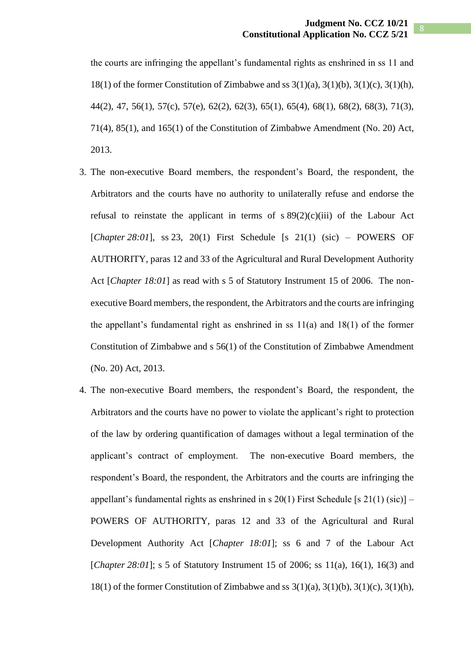the courts are infringing the appellant's fundamental rights as enshrined in ss 11 and 18(1) of the former Constitution of Zimbabwe and ss  $3(1)(a)$ ,  $3(1)(b)$ ,  $3(1)(c)$ ,  $3(1)(h)$ , 44(2), 47, 56(1), 57(c), 57(e), 62(2), 62(3), 65(1), 65(4), 68(1), 68(2), 68(3), 71(3), 71(4), 85(1), and 165(1) of the Constitution of Zimbabwe Amendment (No. 20) Act, 2013.

- 3. The non-executive Board members, the respondent's Board, the respondent, the Arbitrators and the courts have no authority to unilaterally refuse and endorse the refusal to reinstate the applicant in terms of  $s 89(2)(c)(iii)$  of the Labour Act [*Chapter 28:01*], ss 23, 20(1) First Schedule [s 21(1) (sic) – POWERS OF AUTHORITY, paras 12 and 33 of the Agricultural and Rural Development Authority Act [*Chapter 18:01*] as read with s 5 of Statutory Instrument 15 of 2006. The nonexecutive Board members, the respondent, the Arbitrators and the courts are infringing the appellant's fundamental right as enshrined in ss 11(a) and 18(1) of the former Constitution of Zimbabwe and s 56(1) of the Constitution of Zimbabwe Amendment (No. 20) Act, 2013.
- 4. The non-executive Board members, the respondent's Board, the respondent, the Arbitrators and the courts have no power to violate the applicant's right to protection of the law by ordering quantification of damages without a legal termination of the applicant's contract of employment. The non-executive Board members, the respondent's Board, the respondent, the Arbitrators and the courts are infringing the appellant's fundamental rights as enshrined in s 20(1) First Schedule [s  $21(1)$  (sic)] – POWERS OF AUTHORITY, paras 12 and 33 of the Agricultural and Rural Development Authority Act [*Chapter 18:01*]; ss 6 and 7 of the Labour Act [*Chapter 28:01*]; s 5 of Statutory Instrument 15 of 2006; ss 11(a), 16(1), 16(3) and 18(1) of the former Constitution of Zimbabwe and ss  $3(1)(a)$ ,  $3(1)(b)$ ,  $3(1)(c)$ ,  $3(1)(h)$ ,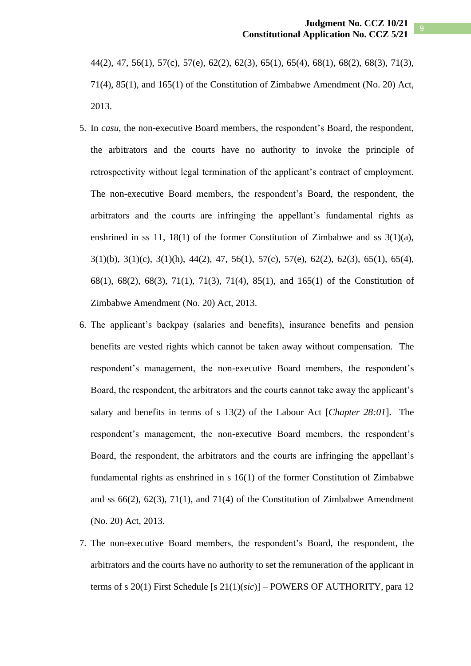44(2), 47, 56(1), 57(c), 57(e), 62(2), 62(3), 65(1), 65(4), 68(1), 68(2), 68(3), 71(3), 71(4), 85(1), and 165(1) of the Constitution of Zimbabwe Amendment (No. 20) Act, 2013.

- 5. In *casu*, the non-executive Board members, the respondent's Board, the respondent, the arbitrators and the courts have no authority to invoke the principle of retrospectivity without legal termination of the applicant's contract of employment. The non-executive Board members, the respondent's Board, the respondent, the arbitrators and the courts are infringing the appellant's fundamental rights as enshrined in ss 11, 18(1) of the former Constitution of Zimbabwe and ss  $3(1)(a)$ , 3(1)(b), 3(1)(c), 3(1)(h), 44(2), 47, 56(1), 57(c), 57(e), 62(2), 62(3), 65(1), 65(4), 68(1), 68(2), 68(3), 71(1), 71(3), 71(4), 85(1), and 165(1) of the Constitution of Zimbabwe Amendment (No. 20) Act, 2013.
- 6. The applicant's backpay (salaries and benefits), insurance benefits and pension benefits are vested rights which cannot be taken away without compensation. The respondent's management, the non-executive Board members, the respondent's Board, the respondent, the arbitrators and the courts cannot take away the applicant's salary and benefits in terms of s 13(2) of the Labour Act [*Chapter 28:01*]. The respondent's management, the non-executive Board members, the respondent's Board, the respondent, the arbitrators and the courts are infringing the appellant's fundamental rights as enshrined in s 16(1) of the former Constitution of Zimbabwe and ss 66(2), 62(3), 71(1), and 71(4) of the Constitution of Zimbabwe Amendment (No. 20) Act, 2013.
- 7. The non-executive Board members, the respondent's Board, the respondent, the arbitrators and the courts have no authority to set the remuneration of the applicant in terms of s 20(1) First Schedule [s 21(1)(*sic*)] – POWERS OF AUTHORITY, para 12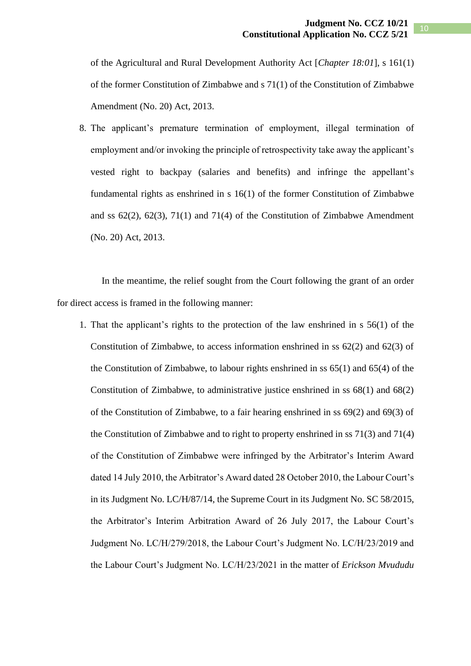of the Agricultural and Rural Development Authority Act [*Chapter 18:01*], s 161(1) of the former Constitution of Zimbabwe and s 71(1) of the Constitution of Zimbabwe Amendment (No. 20) Act, 2013.

8. The applicant's premature termination of employment, illegal termination of employment and/or invoking the principle of retrospectivity take away the applicant's vested right to backpay (salaries and benefits) and infringe the appellant's fundamental rights as enshrined in s 16(1) of the former Constitution of Zimbabwe and ss 62(2), 62(3), 71(1) and 71(4) of the Constitution of Zimbabwe Amendment (No. 20) Act, 2013.

In the meantime, the relief sought from the Court following the grant of an order for direct access is framed in the following manner:

1. That the applicant's rights to the protection of the law enshrined in s 56(1) of the Constitution of Zimbabwe, to access information enshrined in ss 62(2) and 62(3) of the Constitution of Zimbabwe, to labour rights enshrined in ss 65(1) and 65(4) of the Constitution of Zimbabwe, to administrative justice enshrined in ss 68(1) and 68(2) of the Constitution of Zimbabwe, to a fair hearing enshrined in ss 69(2) and 69(3) of the Constitution of Zimbabwe and to right to property enshrined in ss 71(3) and 71(4) of the Constitution of Zimbabwe were infringed by the Arbitrator's Interim Award dated 14 July 2010, the Arbitrator's Award dated 28 October 2010, the Labour Court's in its Judgment No. LC/H/87/14, the Supreme Court in its Judgment No. SC 58/2015, the Arbitrator's Interim Arbitration Award of 26 July 2017, the Labour Court's Judgment No. LC/H/279/2018, the Labour Court's Judgment No. LC/H/23/2019 and the Labour Court's Judgment No. LC/H/23/2021 in the matter of *Erickson Mvududu*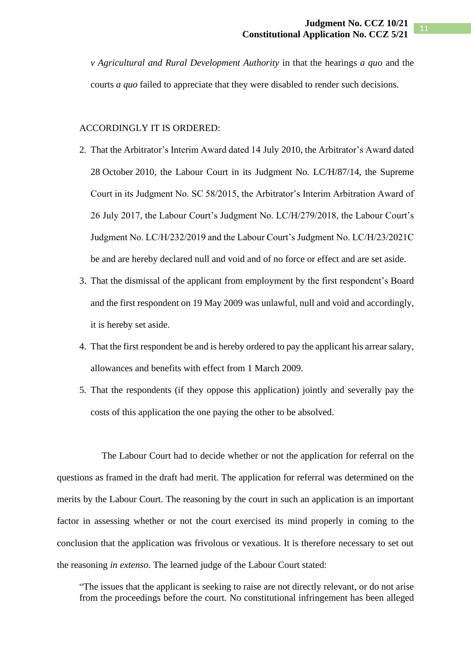*v Agricultural and Rural Development Authority* in that the hearings *a quo* and the courts *a quo* failed to appreciate that they were disabled to render such decisions.

### ACCORDINGLY IT IS ORDERED:

- 2. That the Arbitrator's Interim Award dated 14 July 2010, the Arbitrator's Award dated 28 October 2010, the Labour Court in its Judgment No. LC/H/87/14, the Supreme Court in its Judgment No. SC 58/2015, the Arbitrator's Interim Arbitration Award of 26 July 2017, the Labour Court's Judgment No. LC/H/279/2018, the Labour Court's Judgment No. LC/H/232/2019 and the Labour Court's Judgment No. LC/H/23/2021C be and are hereby declared null and void and of no force or effect and are set aside.
- 3. That the dismissal of the applicant from employment by the first respondent's Board and the first respondent on 19 May 2009 was unlawful, null and void and accordingly, it is hereby set aside.
- 4. That the first respondent be and is hereby ordered to pay the applicant his arrear salary, allowances and benefits with effect from 1 March 2009.
- 5. That the respondents (if they oppose this application) jointly and severally pay the costs of this application the one paying the other to be absolved.

The Labour Court had to decide whether or not the application for referral on the questions as framed in the draft had merit. The application for referral was determined on the merits by the Labour Court. The reasoning by the court in such an application is an important factor in assessing whether or not the court exercised its mind properly in coming to the conclusion that the application was frivolous or vexatious. It is therefore necessary to set out the reasoning *in extenso*. The learned judge of the Labour Court stated:

"The issues that the applicant is seeking to raise are not directly relevant, or do not arise from the proceedings before the court. No constitutional infringement has been alleged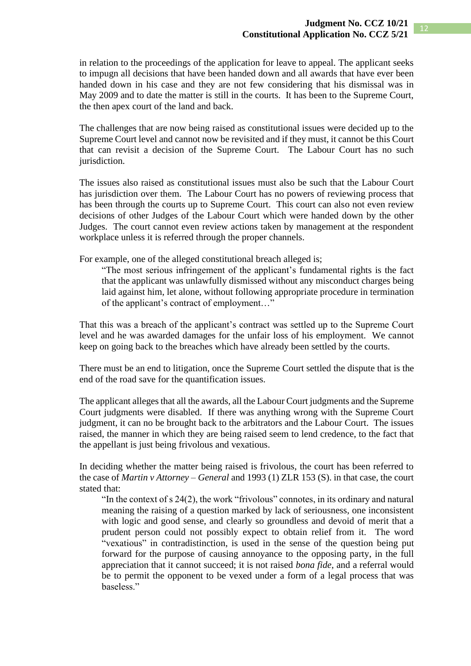in relation to the proceedings of the application for leave to appeal. The applicant seeks to impugn all decisions that have been handed down and all awards that have ever been handed down in his case and they are not few considering that his dismissal was in May 2009 and to date the matter is still in the courts. It has been to the Supreme Court, the then apex court of the land and back.

The challenges that are now being raised as constitutional issues were decided up to the Supreme Court level and cannot now be revisited and if they must, it cannot be this Court that can revisit a decision of the Supreme Court. The Labour Court has no such jurisdiction.

The issues also raised as constitutional issues must also be such that the Labour Court has jurisdiction over them. The Labour Court has no powers of reviewing process that has been through the courts up to Supreme Court. This court can also not even review decisions of other Judges of the Labour Court which were handed down by the other Judges. The court cannot even review actions taken by management at the respondent workplace unless it is referred through the proper channels.

For example, one of the alleged constitutional breach alleged is;

"The most serious infringement of the applicant's fundamental rights is the fact that the applicant was unlawfully dismissed without any misconduct charges being laid against him, let alone, without following appropriate procedure in termination of the applicant's contract of employment…"

That this was a breach of the applicant's contract was settled up to the Supreme Court level and he was awarded damages for the unfair loss of his employment. We cannot keep on going back to the breaches which have already been settled by the courts.

There must be an end to litigation, once the Supreme Court settled the dispute that is the end of the road save for the quantification issues.

The applicant alleges that all the awards, all the Labour Court judgments and the Supreme Court judgments were disabled. If there was anything wrong with the Supreme Court judgment, it can no be brought back to the arbitrators and the Labour Court. The issues raised, the manner in which they are being raised seem to lend credence, to the fact that the appellant is just being frivolous and vexatious.

In deciding whether the matter being raised is frivolous, the court has been referred to the case of *Martin v Attorney – General* and 1993 (1) ZLR 153 (S). in that case, the court stated that:

"In the context of s 24(2), the work "frivolous" connotes, in its ordinary and natural meaning the raising of a question marked by lack of seriousness, one inconsistent with logic and good sense, and clearly so groundless and devoid of merit that a prudent person could not possibly expect to obtain relief from it. The word "vexatious" in contradistinction, is used in the sense of the question being put forward for the purpose of causing annoyance to the opposing party, in the full appreciation that it cannot succeed; it is not raised *bona fide*, and a referral would be to permit the opponent to be vexed under a form of a legal process that was baseless."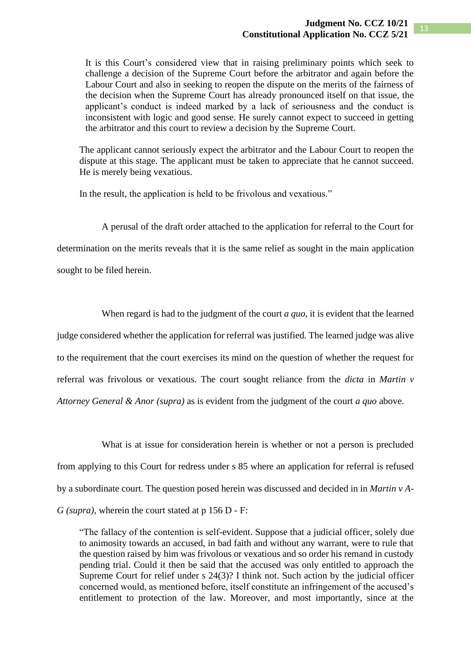It is this Court's considered view that in raising preliminary points which seek to challenge a decision of the Supreme Court before the arbitrator and again before the Labour Court and also in seeking to reopen the dispute on the merits of the fairness of the decision when the Supreme Court has already pronounced itself on that issue, the applicant's conduct is indeed marked by a lack of seriousness and the conduct is inconsistent with logic and good sense. He surely cannot expect to succeed in getting the arbitrator and this court to review a decision by the Supreme Court.

The applicant cannot seriously expect the arbitrator and the Labour Court to reopen the dispute at this stage. The applicant must be taken to appreciate that he cannot succeed. He is merely being vexatious.

In the result, the application is held to be frivolous and vexatious."

A perusal of the draft order attached to the application for referral to the Court for determination on the merits reveals that it is the same relief as sought in the main application sought to be filed herein.

When regard is had to the judgment of the court *a quo*, it is evident that the learned judge considered whether the application for referral was justified. The learned judge was alive to the requirement that the court exercises its mind on the question of whether the request for referral was frivolous or vexatious. The court sought reliance from the *dicta* in *Martin v Attorney General & Anor (supra)* as is evident from the judgment of the court *a quo* above.

What is at issue for consideration herein is whether or not a person is precluded from applying to this Court for redress under s 85 where an application for referral is refused by a subordinate court. The question posed herein was discussed and decided in in *Martin v A-G (supra),* wherein the court stated at p 156 D - F:

"The fallacy of the contention is self-evident. Suppose that a judicial officer, solely due to animosity towards an accused, in bad faith and without any warrant, were to rule that the question raised by him was frivolous or vexatious and so order his remand in custody pending trial. Could it then be said that the accused was only entitled to approach the Supreme Court for relief under s 24(3)? I think not. Such action by the judicial officer concerned would, as mentioned before, itself constitute an infringement of the accused's entitlement to protection of the law. Moreover, and most importantly, since at the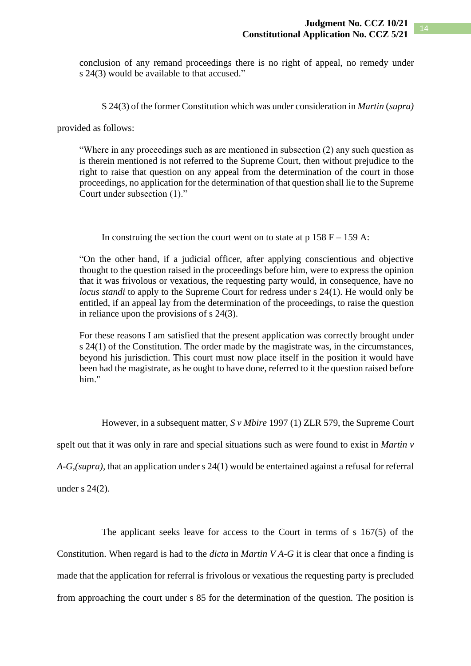conclusion of any remand proceedings there is no right of appeal, no remedy under s 24(3) would be available to that accused."

S 24(3) of the former Constitution which was under consideration in *Martin* (*supra)* 

provided as follows:

"Where in any proceedings such as are mentioned in subsection (2) any such question as is therein mentioned is not referred to the Supreme Court, then without prejudice to the right to raise that question on any appeal from the determination of the court in those proceedings, no application for the determination of that question shall lie to the Supreme Court under subsection (1)."

In construing the section the court went on to state at  $p$  158 F – 159 A:

"On the other hand, if a judicial officer, after applying conscientious and objective thought to the question raised in the proceedings before him, were to express the opinion that it was frivolous or vexatious, the requesting party would, in consequence, have no *locus standi* to apply to the Supreme Court for redress under s 24(1). He would only be entitled, if an appeal lay from the determination of the proceedings, to raise the question in reliance upon the provisions of s 24(3).

For these reasons I am satisfied that the present application was correctly brought under s 24(1) of the Constitution. The order made by the magistrate was, in the circumstances, beyond his jurisdiction. This court must now place itself in the position it would have been had the magistrate, as he ought to have done, referred to it the question raised before him."

However, in a subsequent matter, *S v Mbire* 1997 (1) ZLR 579, the Supreme Court

spelt out that it was only in rare and special situations such as were found to exist in *Martin v* 

*A-G,(supra),* that an application under s 24(1) would be entertained against a refusal for referral

under s 24(2).

The applicant seeks leave for access to the Court in terms of  $s$  167(5) of the Constitution. When regard is had to the *dicta* in *Martin V A-G* it is clear that once a finding is made that the application for referral is frivolous or vexatious the requesting party is precluded from approaching the court under s 85 for the determination of the question. The position is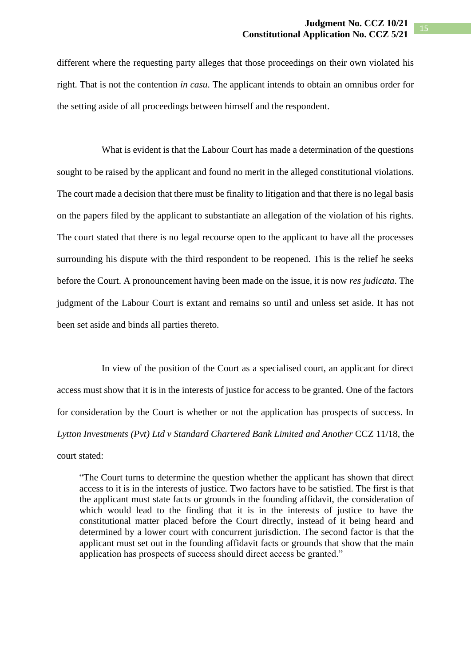different where the requesting party alleges that those proceedings on their own violated his right. That is not the contention *in casu*. The applicant intends to obtain an omnibus order for the setting aside of all proceedings between himself and the respondent.

What is evident is that the Labour Court has made a determination of the questions sought to be raised by the applicant and found no merit in the alleged constitutional violations. The court made a decision that there must be finality to litigation and that there is no legal basis on the papers filed by the applicant to substantiate an allegation of the violation of his rights. The court stated that there is no legal recourse open to the applicant to have all the processes surrounding his dispute with the third respondent to be reopened. This is the relief he seeks before the Court. A pronouncement having been made on the issue, it is now *res judicata*. The judgment of the Labour Court is extant and remains so until and unless set aside. It has not been set aside and binds all parties thereto.

In view of the position of the Court as a specialised court, an applicant for direct access must show that it is in the interests of justice for access to be granted. One of the factors for consideration by the Court is whether or not the application has prospects of success. In *Lytton Investments (Pvt) Ltd v Standard Chartered Bank Limited and Another* CCZ 11/18, the court stated:

"The Court turns to determine the question whether the applicant has shown that direct access to it is in the interests of justice. Two factors have to be satisfied. The first is that the applicant must state facts or grounds in the founding affidavit, the consideration of which would lead to the finding that it is in the interests of justice to have the constitutional matter placed before the Court directly, instead of it being heard and determined by a lower court with concurrent jurisdiction. The second factor is that the applicant must set out in the founding affidavit facts or grounds that show that the main application has prospects of success should direct access be granted."